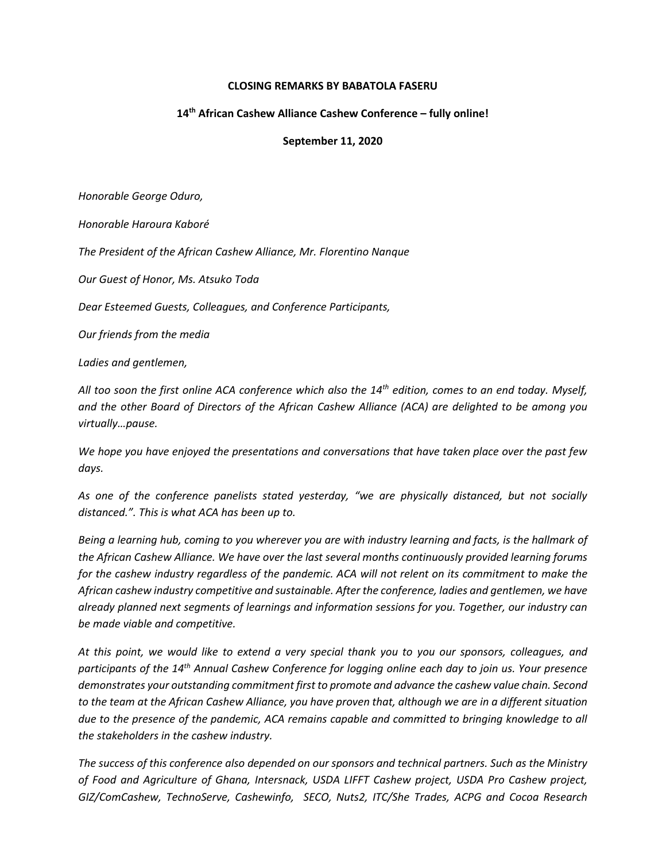## **CLOSING REMARKS BY BABATOLA FASERU**

## **14th African Cashew Alliance Cashew Conference – fully online!**

## **September 11, 2020**

*Honorable George Oduro,*

*Honorable Haroura Kaboré*

*The President of the African Cashew Alliance, Mr. Florentino Nanque*

*Our Guest of Honor, Ms. Atsuko Toda*

*Dear Esteemed Guests, Colleagues, and Conference Participants,* 

*Our friends from the media*

*Ladies and gentlemen,*

*All too soon the first online ACA conference which also the 14th edition, comes to an end today. Myself, and the other Board of Directors of the African Cashew Alliance (ACA) are delighted to be among you virtually…pause.*

*We hope you have enjoyed the presentations and conversations that have taken place over the past few days.* 

*As one of the conference panelists stated yesterday, "we are physically distanced, but not socially distanced.". This is what ACA has been up to.* 

*Being a learning hub, coming to you wherever you are with industry learning and facts, is the hallmark of the African Cashew Alliance. We have over the last several months continuously provided learning forums for the cashew industry regardless of the pandemic. ACA will not relent on its commitment to make the African cashew industry competitive and sustainable. After the conference, ladies and gentlemen, we have already planned next segments of learnings and information sessions for you. Together, our industry can be made viable and competitive.* 

*At this point, we would like to extend a very special thank you to you our sponsors, colleagues, and participants of the 14th Annual Cashew Conference for logging online each day to join us. Your presence demonstrates your outstanding commitment first to promote and advance the cashew value chain. Second to the team at the African Cashew Alliance, you have proven that, although we are in a different situation due to the presence of the pandemic, ACA remains capable and committed to bringing knowledge to all the stakeholders in the cashew industry.*

*The success of this conference also depended on our sponsors and technical partners. Such as the Ministry of Food and Agriculture of Ghana, Intersnack, USDA LIFFT Cashew project, USDA Pro Cashew project, GIZ/ComCashew, TechnoServe, Cashewinfo, SECO, Nuts2, ITC/She Trades, ACPG and Cocoa Research*